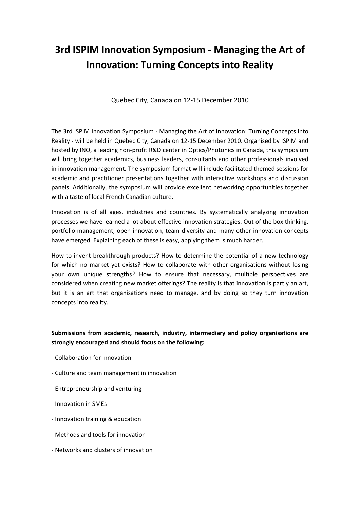## **3rd ISPIM Innovation Symposium - Managing the Art of Innovation: Turning Concepts into Reality**

Quebec City, Canada on 12-15 December 2010

The 3rd ISPIM Innovation Symposium - Managing the Art of Innovation: Turning Concepts into Reality - will be held in Quebec City, Canada on 12-15 December 2010. Organised by ISPIM and hosted by INO, a leading non-profit R&D center in Optics/Photonics in Canada, this symposium will bring together academics, business leaders, consultants and other professionals involved in innovation management. The symposium format will include facilitated themed sessions for academic and practitioner presentations together with interactive workshops and discussion panels. Additionally, the symposium will provide excellent networking opportunities together with a taste of local French Canadian culture.

Innovation is of all ages, industries and countries. By systematically analyzing innovation processes we have learned a lot about effective innovation strategies. Out of the box thinking, portfolio management, open innovation, team diversity and many other innovation concepts have emerged. Explaining each of these is easy, applying them is much harder.

How to invent breakthrough products? How to determine the potential of a new technology for which no market yet exists? How to collaborate with other organisations without losing your own unique strengths? How to ensure that necessary, multiple perspectives are considered when creating new market offerings? The reality is that innovation is partly an art, but it is an art that organisations need to manage, and by doing so they turn innovation concepts into reality.

## **Submissions from academic, research, industry, intermediary and policy organisations are strongly encouraged and should focus on the following:**

- Collaboration for innovation
- Culture and team management in innovation
- Entrepreneurship and venturing
- Innovation in SMEs
- Innovation training & education
- Methods and tools for innovation
- Networks and clusters of innovation